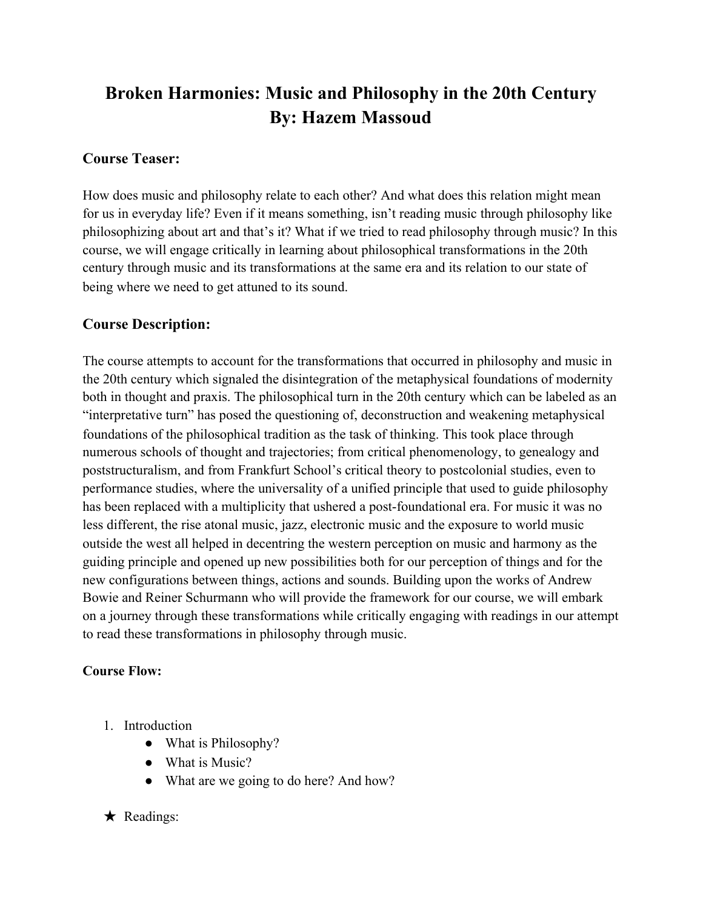# **Broken Harmonies: Music and Philosophy in the 20th Century By: Hazem Massoud**

#### **Course Teaser:**

How does music and philosophy relate to each other? And what does this relation might mean for us in everyday life? Even if it means something, isn't reading music through philosophy like philosophizing about art and that's it? What if we tried to read philosophy through music? In this course, we will engage critically in learning about philosophical transformations in the 20th century through music and its transformations at the same era and its relation to our state of being where we need to get attuned to its sound.

### **Course Description:**

The course attempts to account for the transformations that occurred in philosophy and music in the 20th century which signaled the disintegration of the metaphysical foundations of modernity both in thought and praxis. The philosophical turn in the 20th century which can be labeled as an "interpretative turn" has posed the questioning of, deconstruction and weakening metaphysical foundations of the philosophical tradition as the task of thinking. This took place through numerous schools of thought and trajectories; from critical phenomenology, to genealogy and poststructuralism, and from Frankfurt School's critical theory to postcolonial studies, even to performance studies, where the universality of a unified principle that used to guide philosophy has been replaced with a multiplicity that ushered a post-foundational era. For music it was no less different, the rise atonal music, jazz, electronic music and the exposure to world music outside the west all helped in decentring the western perception on music and harmony as the guiding principle and opened up new possibilities both for our perception of things and for the new configurations between things, actions and sounds. Building upon the works of Andrew Bowie and Reiner Schurmann who will provide the framework for our course, we will embark on a journey through these transformations while critically engaging with readings in our attempt to read these transformations in philosophy through music.

#### **Course Flow:**

- 1. Introduction
	- What is Philosophy?
	- What is Music?
	- What are we going to do here? And how?

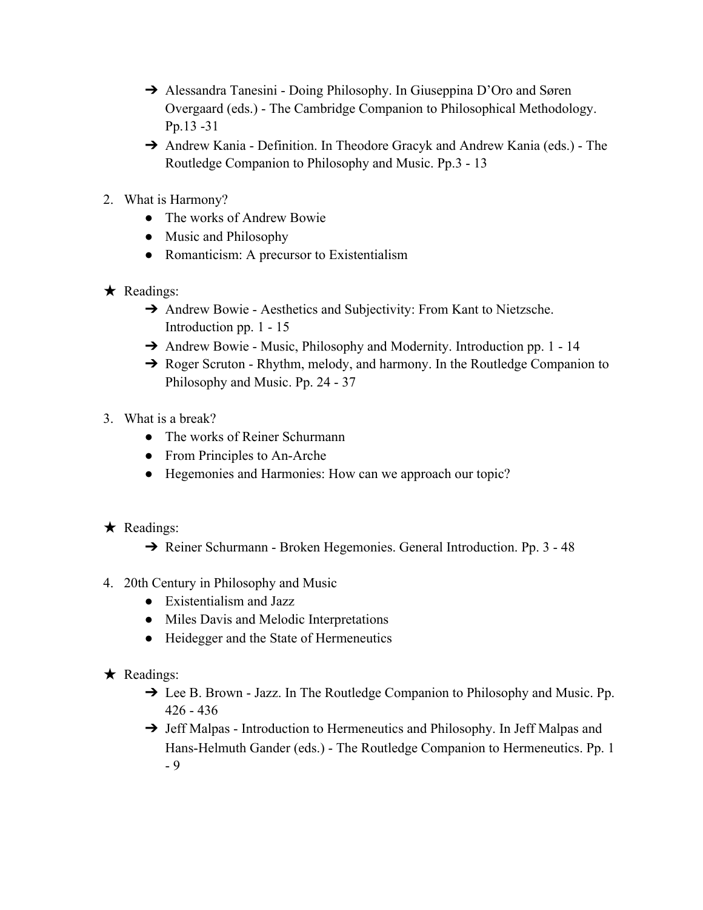- → Alessandra Tanesini Doing Philosophy. In Giuseppina D'Oro and Søren Overgaard (eds.) - The Cambridge Companion to Philosophical Methodology. Pp.13 -31
- ➔ Andrew Kania Definition. In Theodore Gracyk and Andrew Kania (eds.) The Routledge Companion to Philosophy and Music. Pp.3 - 13
- 2. What is Harmony?
	- The works of Andrew Bowie
	- Music and Philosophy
	- Romanticism: A precursor to Existentialism
- $\star$  Readings:
	- **→** Andrew Bowie Aesthetics and Subjectivity: From Kant to Nietzsche. Introduction pp. 1 - 15
	- **→** Andrew Bowie Music, Philosophy and Modernity. Introduction pp. 1 14
	- ➔ Roger Scruton Rhythm, melody, and harmony. In the Routledge Companion to Philosophy and Music. Pp. 24 - 37
- 3. What is a break?
	- The works of Reiner Schurmann
	- From Principles to An-Arche
	- Hegemonies and Harmonies: How can we approach our topic?
- $\star$  Readings:
	- ➔ Reiner Schurmann Broken Hegemonies. General Introduction. Pp. 3 48
- 4. 20th Century in Philosophy and Music
	- Existentialism and Jazz
	- Miles Davis and Melodic Interpretations
	- Heidegger and the State of Hermeneutics
- $\star$  Readings:
	- ➔ Lee B. Brown Jazz. In The Routledge Companion to Philosophy and Music. Pp. 426 - 436
	- → Jeff Malpas Introduction to Hermeneutics and Philosophy. In Jeff Malpas and Hans-Helmuth Gander (eds.) - The Routledge Companion to Hermeneutics. Pp. 1 - 9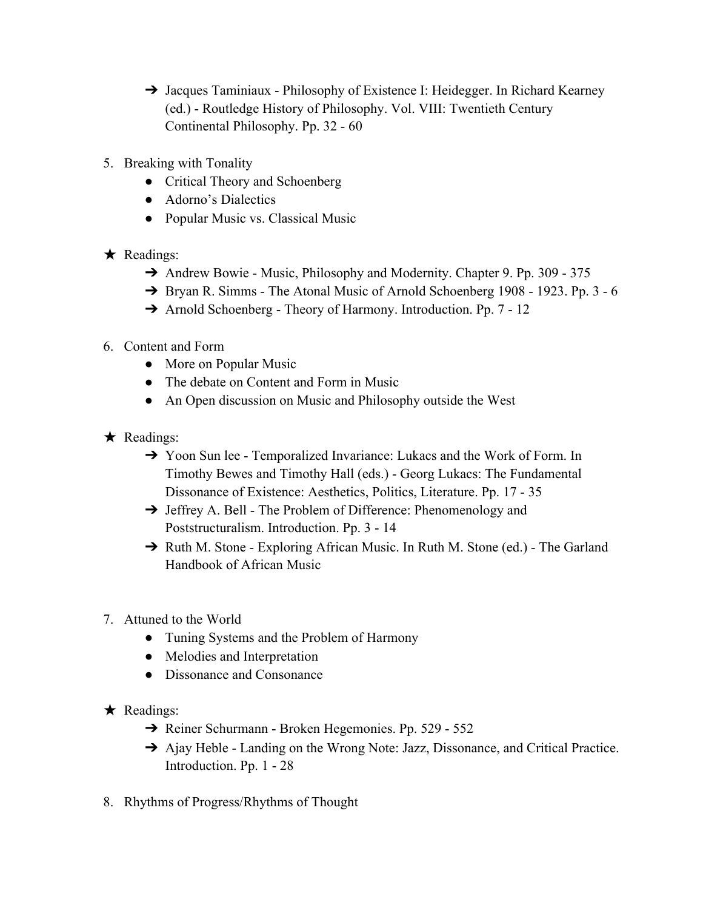- → Jacques Taminiaux Philosophy of Existence I: Heidegger. In Richard Kearney (ed.) - Routledge History of Philosophy. Vol. VIII: Twentieth Century Continental Philosophy. Pp. 32 - 60
- 5. Breaking with Tonality
	- Critical Theory and Schoenberg
	- Adorno's Dialectics
	- Popular Music vs. Classical Music
- ★ Readings:
	- → Andrew Bowie Music, Philosophy and Modernity. Chapter 9. Pp. 309 375
	- → Bryan R. Simms The Atonal Music of Arnold Schoenberg 1908 1923. Pp. 3 6
	- ➔ Arnold Schoenberg Theory of Harmony. Introduction. Pp. 7 12
- 6. Content and Form
	- More on Popular Music
	- The debate on Content and Form in Music
	- An Open discussion on Music and Philosophy outside the West
- $\star$  Readings:
	- ➔ Yoon Sun lee Temporalized Invariance: Lukacs and the Work of Form. In Timothy Bewes and Timothy Hall (eds.) - Georg Lukacs: The Fundamental Dissonance of Existence: Aesthetics, Politics, Literature. Pp. 17 - 35
	- ➔ Jeffrey A. Bell The Problem of Difference: Phenomenology and Poststructuralism. Introduction. Pp. 3 - 14
	- → Ruth M. Stone Exploring African Music. In Ruth M. Stone (ed.) The Garland Handbook of African Music
- 7. Attuned to the World
	- Tuning Systems and the Problem of Harmony
	- Melodies and Interpretation
	- Dissonance and Consonance
- ★ Readings:
	- ➔ Reiner Schurmann Broken Hegemonies. Pp. 529 552
	- → Ajay Heble Landing on the Wrong Note: Jazz, Dissonance, and Critical Practice. Introduction. Pp. 1 - 28
- 8. Rhythms of Progress/Rhythms of Thought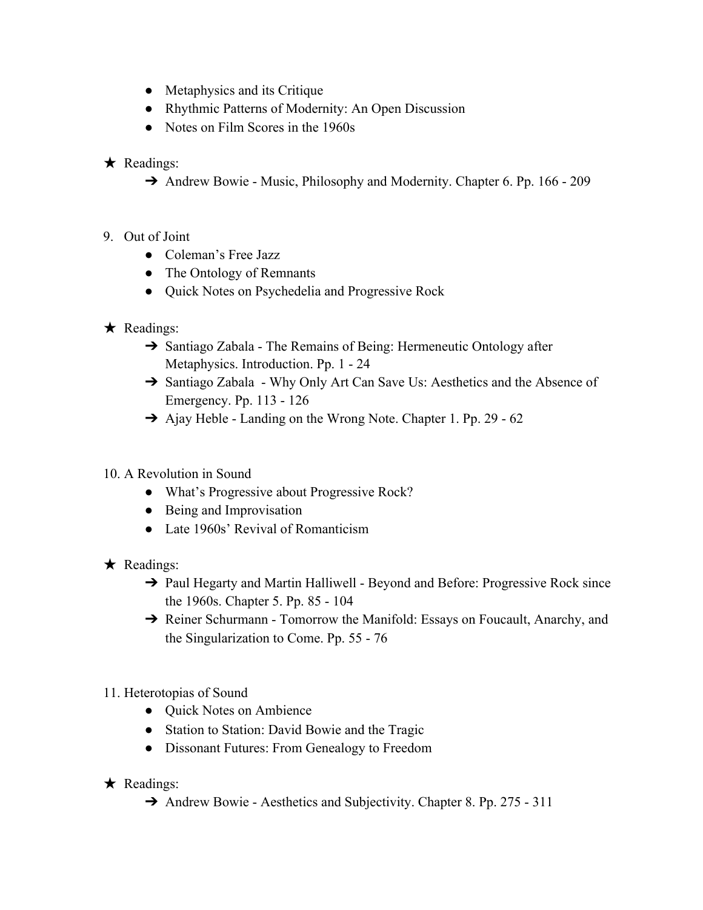- Metaphysics and its Critique
- Rhythmic Patterns of Modernity: An Open Discussion
- Notes on Film Scores in the 1960s
- $\star$  Readings:
	- → Andrew Bowie Music, Philosophy and Modernity. Chapter 6. Pp. 166 209
- 9. Out of Joint
	- Coleman's Free Jazz
	- The Ontology of Remnants
	- Quick Notes on Psychedelia and Progressive Rock
- ★ Readings:
	- **→** Santiago Zabala The Remains of Being: Hermeneutic Ontology after Metaphysics. Introduction. Pp. 1 - 24
	- → Santiago Zabala Why Only Art Can Save Us: Aesthetics and the Absence of Emergency. Pp. 113 - 126
	- → Ajay Heble Landing on the Wrong Note. Chapter 1. Pp. 29 62
- 10. A Revolution in Sound
	- What's Progressive about Progressive Rock?
	- Being and Improvisation
	- Late 1960s' Revival of Romanticism
- ★ Readings:
	- ➔ Paul Hegarty and Martin Halliwell Beyond and Before: Progressive Rock since the 1960s. Chapter 5. Pp. 85 - 104
	- → Reiner Schurmann Tomorrow the Manifold: Essays on Foucault, Anarchy, and the Singularization to Come. Pp. 55 - 76
- 11. Heterotopias of Sound
	- Quick Notes on Ambience
	- Station to Station: David Bowie and the Tragic
	- Dissonant Futures: From Genealogy to Freedom
- ★ Readings:
	- → Andrew Bowie Aesthetics and Subjectivity. Chapter 8. Pp. 275 311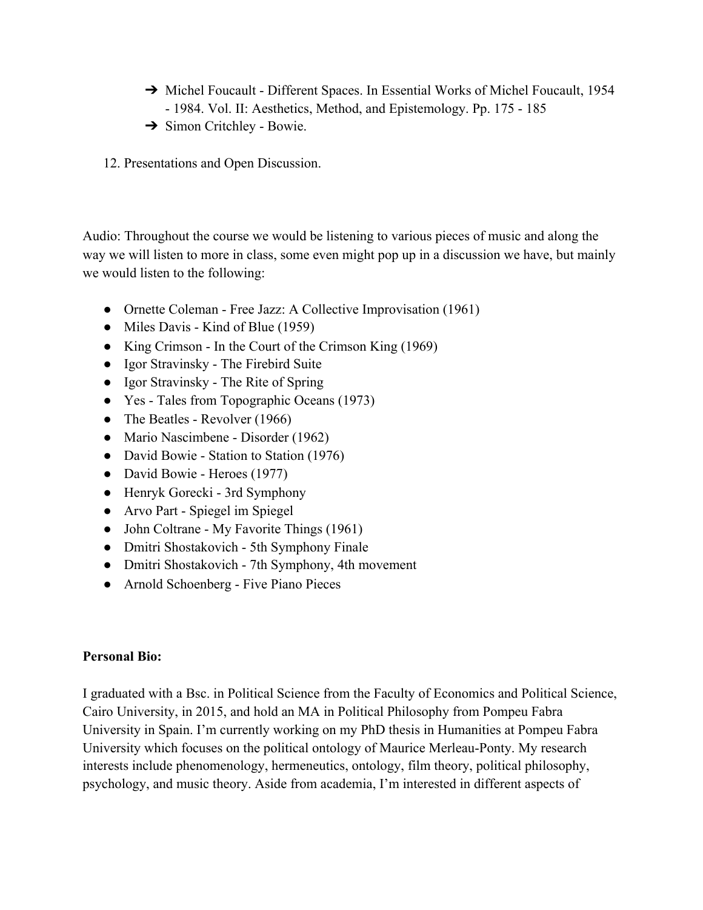- → Michel Foucault Different Spaces. In Essential Works of Michel Foucault, 1954 - 1984. Vol. II: Aesthetics, Method, and Epistemology. Pp. 175 - 185
- → Simon Critchley Bowie.
- 12. Presentations and Open Discussion.

Audio: Throughout the course we would be listening to various pieces of music and along the way we will listen to more in class, some even might pop up in a discussion we have, but mainly we would listen to the following:

- Ornette Coleman Free Jazz: A Collective Improvisation (1961)
- Miles Davis Kind of Blue (1959)
- King Crimson In the Court of the Crimson King (1969)
- Igor Stravinsky The Firebird Suite
- Igor Stravinsky The Rite of Spring
- Yes Tales from Topographic Oceans (1973)
- The Beatles Revolver (1966)
- Mario Nascimbene Disorder (1962)
- David Bowie Station to Station (1976)
- David Bowie Heroes (1977)
- Henryk Gorecki 3rd Symphony
- Arvo Part Spiegel im Spiegel
- John Coltrane My Favorite Things (1961)
- Dmitri Shostakovich 5th Symphony Finale
- Dmitri Shostakovich 7th Symphony, 4th movement
- Arnold Schoenberg Five Piano Pieces

#### **Personal Bio:**

I graduated with a Bsc. in Political Science from the Faculty of Economics and Political Science, Cairo University, in 2015, and hold an MA in Political Philosophy from Pompeu Fabra University in Spain. I'm currently working on my PhD thesis in Humanities at Pompeu Fabra University which focuses on the political ontology of Maurice Merleau-Ponty. My research interests include phenomenology, hermeneutics, ontology, film theory, political philosophy, psychology, and music theory. Aside from academia, I'm interested in different aspects of